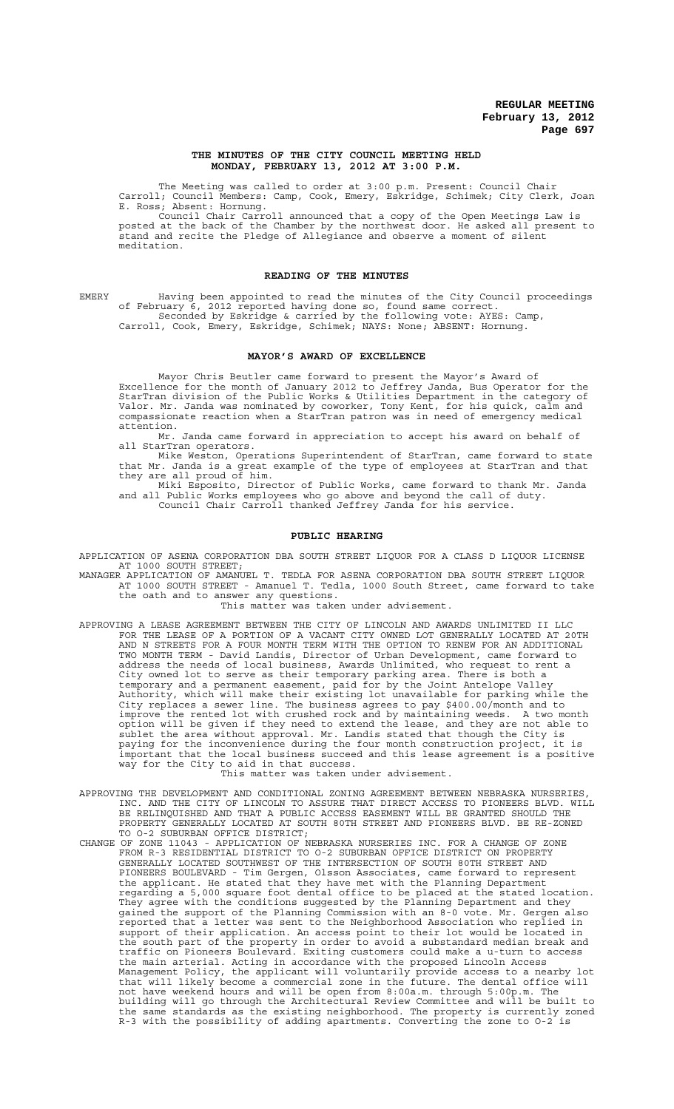## **THE MINUTES OF THE CITY COUNCIL MEETING HELD MONDAY, FEBRUARY 13, 2012 AT 3:00 P.M.**

The Meeting was called to order at 3:00 p.m. Present: Council Chair Carroll; Council Members: Camp, Cook, Emery, Eskridge, Schimek; City Clerk, Joan E. Ross; Absent: Hornung.

Council Chair Carroll announced that a copy of the Open Meetings Law is posted at the back of the Chamber by the northwest door. He asked all present to stand and recite the Pledge of Allegiance and observe a moment of silent meditation.

## **READING OF THE MINUTES**

EMERY Having been appointed to read the minutes of the City Council proceedings of February 6, 2012 reported having done so, found same correct. Seconded by Eskridge & carried by the following vote: AYES: Camp, Carroll, Cook, Emery, Eskridge, Schimek; NAYS: None; ABSENT: Hornung.

# **MAYOR'S AWARD OF EXCELLENCE**

Mayor Chris Beutler came forward to present the Mayor's Award of Excellence for the month of January 2012 to Jeffrey Janda, Bus Operator for the StarTran division of the Public Works & Utilities Department in the category of Valor. Mr. Janda was nominated by coworker, Tony Kent, for his quick, calm and compassionate reaction when a StarTran patron was in need of emergency medical attention.

Mr. Janda came forward in appreciation to accept his award on behalf of all StarTran operators.

Mike Weston, Operations Superintendent of StarTran, came forward to state that Mr. Janda is a great example of the type of employees at StarTran and that they are all proud of him.

Miki Esposito, Director of Public Works, came forward to thank Mr. Janda and all Public Works employees who go above and beyond the call of duty. Council Chair Carroll thanked Jeffrey Janda for his service.

# **PUBLIC HEARING**

APPLICATION OF ASENA CORPORATION DBA SOUTH STREET LIQUOR FOR A CLASS D LIQUOR LICENSE AT 1000 SOUTH STREET;

MANAGER APPLICATION OF AMANUEL T. TEDLA FOR ASENA CORPORATION DBA SOUTH STREET LIQUOR AT 1000 SOUTH STREET - Amanuel T. Tedla, 1000 South Street, came forward to take the oath and to answer any questions.

This matter was taken under advisement.

- APPROVING A LEASE AGREEMENT BETWEEN THE CITY OF LINCOLN AND AWARDS UNLIMITED II LLC FOR THE LEASE OF A PORTION OF A VACANT CITY OWNED LOT GENERALLY LOCATED AT 20TH AND N STREETS FOR A FOUR MONTH TERM WITH THE OPTION TO RENEW FOR AN ADDITIONAL TWO MONTH TERM - David Landis, Director of Urban Development, came forward to address the needs of local business, Awards Unlimited, who request to rent a City owned lot to serve as their temporary parking area. There is both a temporary and a permanent easement, paid for by the Joint Antelope Valley Authority, which will make their existing lot unavailable for parking while the City replaces a sewer line. The business agrees to pay \$400.00/month and to improve the rented lot with crushed rock and by maintaining weeds. A two month option will be given if they need to extend the lease, and they are not able to sublet the area without approval. Mr. Landis stated that though the City is paying for the inconvenience during the four month construction project, it is important that the local business succeed and this lease agreement is a positive way for the City to aid in that success.
	- This matter was taken under advisement.
- APPROVING THE DEVELOPMENT AND CONDITIONAL ZONING AGREEMENT BETWEEN NEBRASKA NURSERIES, INC. AND THE CITY OF LINCOLN TO ASSURE THAT DIRECT ACCESS TO PIONEERS BLVD. WILL BE RELINQUISHED AND THAT A PUBLIC ACCESS EASEMENT WILL BE GRANTED SHOULD THE PROPERTY GENERALLY LOCATED AT SOUTH 80TH STREET AND PIONEERS BLVD. BE RE-ZONED TO O-2 SUBURBAN OFFICE DISTRICT;
- CHANGE OF ZONE 11043 APPLICATION OF NEBRASKA NURSERIES INC. FOR A CHANGE OF ZONE FROM R-3 RESIDENTIAL DISTRICT TO O-2 SUBURBAN OFFICE DISTRICT ON PROPERTY GENERALLY LOCATED SOUTHWEST OF THE INTERSECTION OF SOUTH 80TH STREET AND PIONEERS BOULEVARD - Tim Gergen, Olsson Associates, came forward to represent the applicant. He stated that they have met with the Planning Department regarding a 5,000 square foot dental office to be placed at the stated location. They agree with the conditions suggested by the Planning Department and they gained the support of the Planning Commission with an 8-0 vote. Mr. Gergen also reported that a letter was sent to the Neighborhood Association who replied in support of their application. An access point to their lot would be located in the south part of the property in order to avoid a substandard median break and traffic on Pioneers Boulevard. Exiting customers could make a u-turn to access the main arterial. Acting in accordance with the proposed Lincoln Access Management Policy, the applicant will voluntarily provide access to a nearby lot that will likely become a commercial zone in the future. The dental office will not have weekend hours and will be open from 8:00a.m. through 5:00p.m. The building will go through the Architectural Review Committee and will be built to the same standards as the existing neighborhood. The property is currently zoned R-3 with the possibility of adding apartments. Converting the zone to O-2 is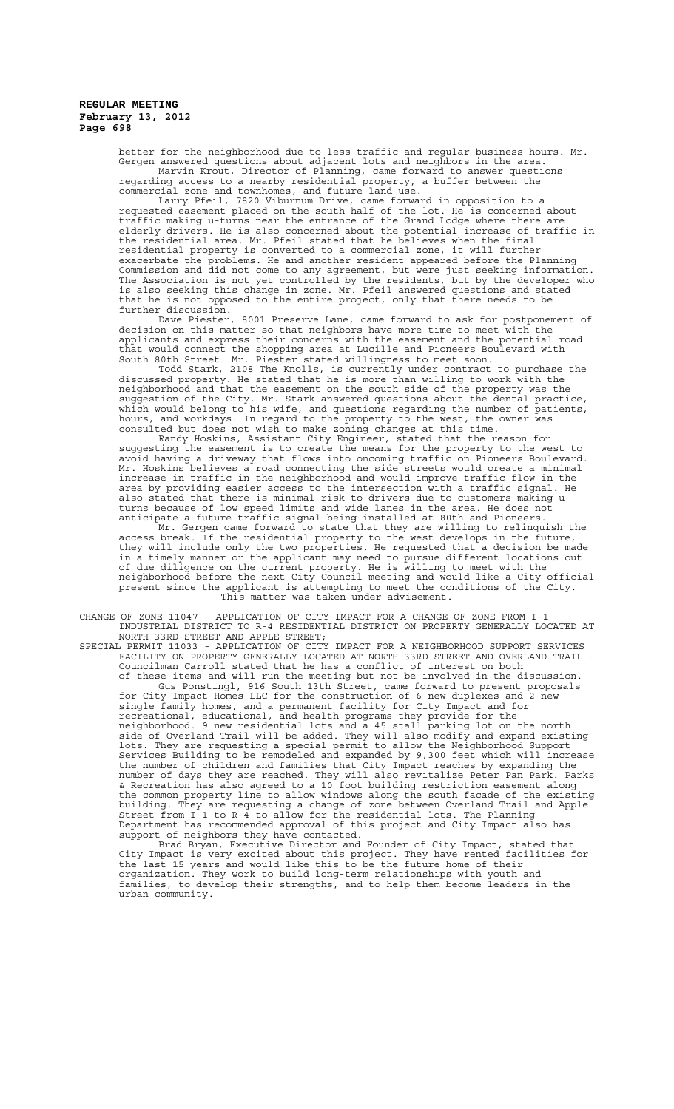better for the neighborhood due to less traffic and regular business hours. Mr. Gergen answered questions about adjacent lots and neighbors in the area. Marvin Krout, Director of Planning, came forward to answer questions regarding access to a nearby residential property, a buffer between the commercial zone and townhomes, and future land use.

Larry Pfeil, 7820 Viburnum Drive, came forward in opposition to a requested easement placed on the south half of the lot. He is concerned about traffic making u-turns near the entrance of the Grand Lodge where there are elderly drivers. He is also concerned about the potential increase of traffic in the residential area. Mr. Pfeil stated that he believes when the final residential property is converted to a commercial zone, it will further exacerbate the problems. He and another resident appeared before the Planning Commission and did not come to any agreement, but were just seeking information. The Association is not yet controlled by the residents, but by the developer who is also seeking this change in zone. Mr. Pfeil answered questions and stated that he is not opposed to the entire project, only that there needs to be further discussion.

Dave Piester, 8001 Preserve Lane, came forward to ask for postponement of decision on this matter so that neighbors have more time to meet with the applicants and express their concerns with the easement and the potential road that would connect the shopping area at Lucille and Pioneers Boulevard with South 80th Street. Mr. Piester stated willingness to meet soon.

Todd Stark, 2108 The Knolls, is currently under contract to purchase the discussed property. He stated that he is more than willing to work with the neighborhood and that the easement on the south side of the property was the suggestion of the City. Mr. Stark answered questions about the dental practice, which would belong to his wife, and questions regarding the number of patients, hours, and workdays. In regard to the property to the west, the owner was consulted but does not wish to make zoning changes at this time.

Randy Hoskins, Assistant City Engineer, stated that the reason for suggesting the easement is to create the means for the property to the west to avoid having a driveway that flows into oncoming traffic on Pioneers Boulevard. Mr. Hoskins believes a road connecting the side streets would create a minimal increase in traffic in the neighborhood and would improve traffic flow in the area by providing easier access to the intersection with a traffic signal. He also stated that there is minimal risk to drivers due to customers making uturns because of low speed limits and wide lanes in the area. He does not anticipate a future traffic signal being installed at 80th and Pioneers.

Mr. Gergen came forward to state that they are willing to relinquish the access break. If the residential property to the west develops in the future, they will include only the two properties. He requested that a decision be made in a timely manner or the applicant may need to pursue different locations out of due diligence on the current property. He is willing to meet with the neighborhood before the next City Council meeting and would like a City official present since the applicant is attempting to meet the conditions of the City. This matter was taken under advisement.

CHANGE OF ZONE 11047 - APPLICATION OF CITY IMPACT FOR A CHANGE OF ZONE FROM I-1 INDUSTRIAL DISTRICT TO R-4 RESIDENTIAL DISTRICT ON PROPERTY GENERALLY LOCATED AT NORTH 33RD STREET AND APPLE STREET;

SPECIAL PERMIT 11033 - APPLICATION OF CITY IMPACT FOR A NEIGHBORHOOD SUPPORT SERVICES FACILITY ON PROPERTY GENERALLY LOCATED AT NORTH 33RD STREET AND OVERLAND TRAIL - Councilman Carroll stated that he has a conflict of interest on both of these items and will run the meeting but not be involved in the discussion. Gus Ponstingl, 916 South 13th Street, came forward to present proposals for City Impact Homes LLC for the construction of 6 new duplexes and 2 new single family homes, and a permanent facility for City Impact and for recreational, educational, and health programs they provide for the neighborhood. 9 new residential lots and a 45 stall parking lot on the north side of Overland Trail will be added. They will also modify and expand existing lots. They are requesting a special permit to allow the Neighborhood Support Services Building to be remodeled and expanded by 9,300 feet which will increase the number of children and families that City Impact reaches by expanding the number of days they are reached. They will also revitalize Peter Pan Park. Parks & Recreation has also agreed to a 10 foot building restriction easement along the common property line to allow windows along the south facade of the existing building. They are requesting a change of zone between Overland Trail and Apple Street from I-1 to R-4 to allow for the residential lots. The Planning Department has recommended approval of this project and City Impact also has support of neighbors they have contacted.

Brad Bryan, Executive Director and Founder of City Impact, stated that City Impact is very excited about this project. They have rented facilities for the last 15 years and would like this to be the future home of their organization. They work to build long-term relationships with youth and families, to develop their strengths, and to help them become leaders in the urban community.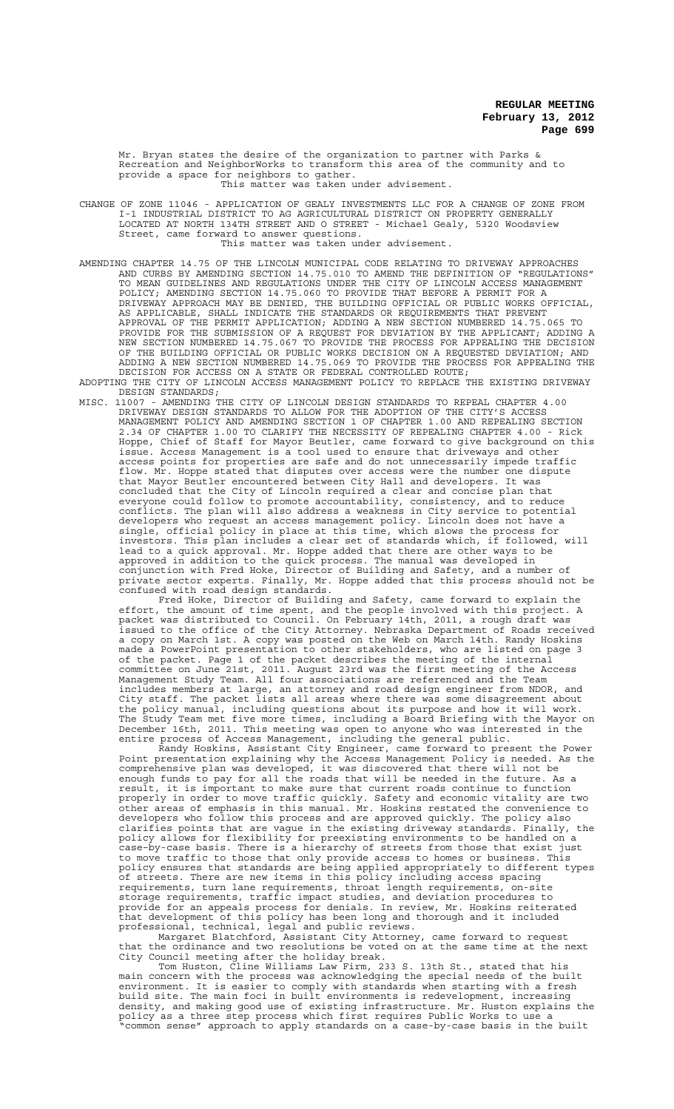Mr. Bryan states the desire of the organization to partner with Parks & Recreation and NeighborWorks to transform this area of the community and to provide a space for neighbors to gather. This matter was taken under advisement.

CHANGE OF ZONE 11046 - APPLICATION OF GEALY INVESTMENTS LLC FOR A CHANGE OF ZONE FROM I-1 INDUSTRIAL DISTRICT TO AG AGRICULTURAL DISTRICT ON PROPERTY GENERALLY LOCATED AT NORTH 134TH STREET AND O STREET - Michael Gealy, 5320 Woodsview Street, came forward to answer questions.

This matter was taken under advisement.

- AMENDING CHAPTER 14.75 OF THE LINCOLN MUNICIPAL CODE RELATING TO DRIVEWAY APPROACHES AND CURBS BY AMENDING SECTION 14.75.010 TO AMEND THE DEFINITION OF "REGULATIONS" TO MEAN GUIDELINES AND REGULATIONS UNDER THE CITY OF LINCOLN ACCESS MANAGEMENT POLICY; AMENDING SECTION 14.75.060 TO PROVIDE THAT BEFORE A PERMIT FOR A DRIVEWAY APPROACH MAY BE DENIED, THE BUILDING OFFICIAL OR PUBLIC WORKS OFFICIAL, AS APPLICABLE, SHALL INDICATE THE STANDARDS OR REQUIREMENTS THAT PREVENT APPROVAL OF THE PERMIT APPLICATION; ADDING A NEW SECTION NUMBERED 14.75.065 TO PROVIDE FOR THE SUBMISSION OF A REQUEST FOR DEVIATION BY THE APPLICANT; ADDING A NEW SECTION NUMBERED 14.75.067 TO PROVIDE THE PROCESS FOR APPEALING THE DECISION OF THE BUILDING OFFICIAL OR PUBLIC WORKS DECISION ON A REQUESTED DEVIATION; AND ADDING A NEW SECTION NUMBERED 14.75.069 TO PROVIDE THE PROCESS FOR APPEALING THE DECISION FOR ACCESS ON A STATE OR FEDERAL CONTROLLED ROUTE;
- ADOPTING THE CITY OF LINCOLN ACCESS MANAGEMENT POLICY TO REPLACE THE EXISTING DRIVEWAY DESIGN STANDARDS;
- MISC. 11007 AMENDING THE CITY OF LINCOLN DESIGN STANDARDS TO REPEAL CHAPTER 4.00 DRIVEWAY DESIGN STANDARDS TO ALLOW FOR THE ADOPTION OF THE CITY'S ACCESS MANAGEMENT POLICY AND AMENDING SECTION 1 OF CHAPTER 1.00 AND REPEALING SECTION 2.34 OF CHAPTER 1.00 TO CLARIFY THE NECESSITY OF REPEALING CHAPTER 4.00 - Rick Hoppe, Chief of Staff for Mayor Beutler, came forward to give background on this issue. Access Management is a tool used to ensure that driveways and other access points for properties are safe and do not unnecessarily impede traffic flow. Mr. Hoppe stated that disputes over access were the number one dispute that Mayor Beutler encountered between City Hall and developers. It was concluded that the City of Lincoln required a clear and concise plan that everyone could follow to promote accountability, consistency, and to reduce conflicts. The plan will also address a weakness in City service to potential developers who request an access management policy. Lincoln does not have a single, official policy in place at this time, which slows the process for investors. This plan includes a clear set of standards which, if followed, will lead to a quick approval. Mr. Hoppe added that there are other ways to be approved in addition to the quick process. The manual was developed in conjunction with Fred Hoke, Director of Building and Safety, and a number of private sector experts. Finally, Mr. Hoppe added that this process should not be confused with road design standards.

Fred Hoke, Director of Building and Safety, came forward to explain the effort, the amount of time spent, and the people involved with this project. A packet was distributed to Council. On February 14th, 2011, a rough draft was issued to the office of the City Attorney. Nebraska Department of Roads received a copy on March 1st. A copy was posted on the Web on March 14th. Randy Hoskins made a PowerPoint presentation to other stakeholders, who are listed on page 3 of the packet. Page 1 of the packet describes the meeting of the internal committee on June 21st, 2011. August 23rd was the first meeting of the Access Management Study Team. All four associations are referenced and the Team includes members at large, an attorney and road design engineer from NDOR, and City staff. The packet lists all areas where there was some disagreement about the policy manual, including questions about its purpose and how it will work. The Study Team met five more times, including a Board Briefing with the Mayor on December 16th, 2011. This meeting was open to anyone who was interested in the entire process of Access Management, including the general public.

Randy Hoskins, Assistant City Engineer, came forward to present the Power Point presentation explaining why the Access Management Policy is needed. As the comprehensive plan was developed, it was discovered that there will not be enough funds to pay for all the roads that will be needed in the future. As a result, it is important to make sure that current roads continue to function properly in order to move traffic quickly. Safety and economic vitality are two other areas of emphasis in this manual. Mr. Hoskins restated the convenience to developers who follow this process and are approved quickly. The policy also clarifies points that are vague in the existing driveway standards. Finally, the policy allows for flexibility for preexisting environments to be handled on a case–by-case basis. There is a hierarchy of streets from those that exist just to move traffic to those that only provide access to homes or business. This policy ensures that standards are being applied appropriately to different types of streets. There are new items in this policy including access spacing requirements, turn lane requirements, throat length requirements, on-site storage requirements, traffic impact studies, and deviation procedures to provide for an appeals process for denials. In review, Mr. Hoskins reiterated that development of this policy has been long and thorough and it included professional, technical, legal and public reviews.

Margaret Blatchford, Assistant City Attorney, came forward to request that the ordinance and two resolutions be voted on at the same time at the next City Council meeting after the holiday break.

Tom Huston, Cline Williams Law Firm, 233 S. 13th St., stated that his main concern with the process was acknowledging the special needs of the built environment. It is easier to comply with standards when starting with a fresh build site. The main foci in built environments is redevelopment, increasing density, and making good use of existing infrastructure. Mr. Huston explains the policy as a three step process which first requires Public Works to use a "common sense" approach to apply standards on a case-by-case basis in the built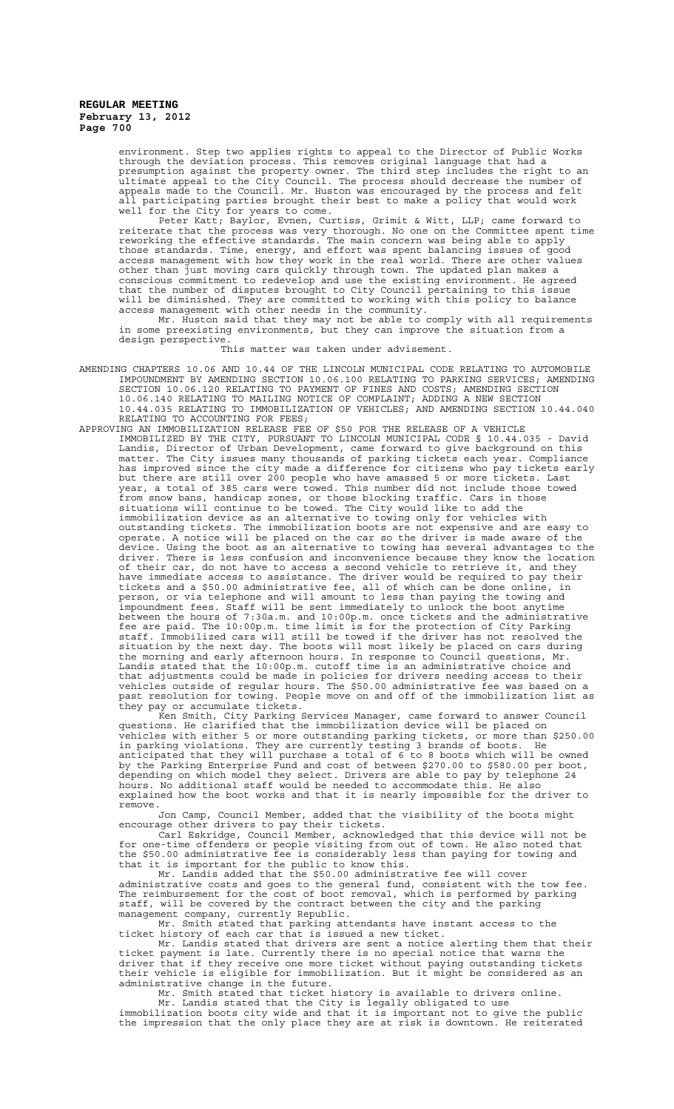environment. Step two applies rights to appeal to the Director of Public Works through the deviation process. This removes original language that had a presumption against the property owner. The third step includes the right to an ultimate appeal to the City Council. The process should decrease the number of appeals made to the Council. Mr. Huston was encouraged by the process and felt all participating parties brought their best to make a policy that would work well for the City for years to come.

Peter Katt; Baylor, Evnen, Curtiss, Grimit & Witt, LLP; came forward to reiterate that the process was very thorough. No one on the Committee spent time reworking the effective standards. The main concern was being able to apply those standards. Time, energy, and effort was spent balancing issues of good access management with how they work in the real world. There are other values other than just moving cars quickly through town. The updated plan makes a conscious commitment to redevelop and use the existing environment. He agreed that the number of disputes brought to City Council pertaining to this issue will be diminished. They are committed to working with this policy to balance access management with other needs in the community.

Mr. Huston said that they may not be able to comply with all requirements in some preexisting environments, but they can improve the situation from a design perspective.

#### This matter was taken under advisement.

- AMENDING CHAPTERS 10.06 AND 10.44 OF THE LINCOLN MUNICIPAL CODE RELATING TO AUTOMOBILE IMPOUNDMENT BY AMENDING SECTION 10.06.100 RELATING TO PARKING SERVICES; AMENDING SECTION 10.06.120 RELATING TO PAYMENT OF FINES AND COSTS; AMENDING SECTION 10.06.140 RELATING TO MAILING NOTICE OF COMPLAINT; ADDING A NEW SECTION 10.44.035 RELATING TO IMMOBILIZATION OF VEHICLES; AND AMENDING SECTION 10.44.040 RELATING TO ACCOUNTING FOR FEES;
- APPROVING AN IMMOBILIZATION RELEASE FEE OF \$50 FOR THE RELEASE OF A VEHICLE IMMOBILIZED BY THE CITY, PURSUANT TO LINCOLN MUNICIPAL CODE § 10.44.035 - David Landis, Director of Urban Development, came forward to give background on this matter. The City issues many thousands of parking tickets each year. Compliance has improved since the city made a difference for citizens who pay tickets early but there are still over 200 people who have amassed 5 or more tickets. Last year, a total of 385 cars were towed. This number did not include those towed from snow bans, handicap zones, or those blocking traffic. Cars in those situations will continue to be towed. The City would like to add the immobilization device as an alternative to towing only for vehicles with outstanding tickets. The immobilization boots are not expensive and are easy to operate. A notice will be placed on the car so the driver is made aware of the device. Using the boot as an alternative to towing has several advantages to the driver. There is less confusion and inconvenience because they know the location of their car, do not have to access a second vehicle to retrieve it, and they have immediate access to assistance. The driver would be required to pay their tickets and a \$50.00 administrative fee, all of which can be done online, in person, or via telephone and will amount to less than paying the towing and impoundment fees. Staff will be sent immediately to unlock the boot anytime between the hours of 7:30a.m. and 10:00p.m. once tickets and the administrative fee are paid. The 10:00p.m. time limit is for the protection of City Parking staff. Immobilized cars will still be towed if the driver has not resolved the situation by the next day. The boots will most likely be placed on cars during the morning and early afternoon hours. In response to Council questions, Mr. Landis stated that the 10:00p.m. cutoff time is an administrative choice and that adjustments could be made in policies for drivers needing access to their vehicles outside of regular hours. The \$50.00 administrative fee was based on a past resolution for towing. People move on and off of the immobilization list as they pay or accumulate tickets.

Ken Smith, City Parking Services Manager, came forward to answer Council questions. He clarified that the immobilization device will be placed on vehicles with either 5 or more outstanding parking tickets, or more than \$250.00 in parking violations. They are currently testing 3 brands of boots. He anticipated that they will purchase a total of 6 to 8 boots which will be owned by the Parking Enterprise Fund and cost of between \$270.00 to \$580.00 per boot, depending on which model they select. Drivers are able to pay by telephone 24 hours. No additional staff would be needed to accommodate this. He also explained how the boot works and that it is nearly impossible for the driver to remove.

Jon Camp, Council Member, added that the visibility of the boots might encourage other drivers to pay their tickets.

Carl Eskridge, Council Member, acknowledged that this device will not be for one-time offenders or people visiting from out of town. He also noted that the \$50.00 administrative fee is considerably less than paying for towing and that it is important for the public to know this.

Mr. Landis added that the \$50.00 administrative fee will cover administrative costs and goes to the general fund, consistent with the tow fee. The reimbursement for the cost of boot removal, which is performed by parking staff, will be covered by the contract between the city and the parking management company, currently Republic.

Mr. Smith stated that parking attendants have instant access to the ticket history of each car that is issued a new ticket.

Mr. Landis stated that drivers are sent a notice alerting them that their ticket payment is late. Currently there is no special notice that warns the driver that if they receive one more ticket without paying outstanding tickets their vehicle is eligible for immobilization. But it might be considered as an administrative change in the future.

Mr. Smith stated that ticket history is available to drivers online. Mr. Landis stated that the City is legally obligated to use immobilization boots city wide and that it is important not to give the public the impression that the only place they are at risk is downtown. He reiterated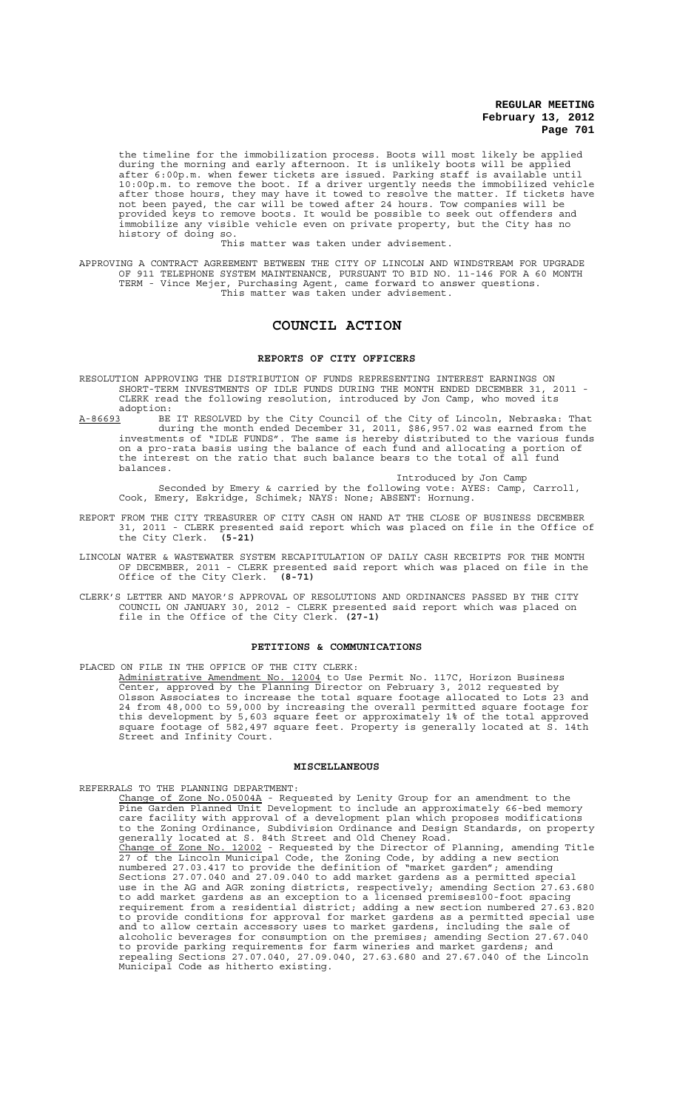the timeline for the immobilization process. Boots will most likely be applied during the morning and early afternoon. It is unlikely boots will be applied after 6:00p.m. when fewer tickets are issued. Parking staff is available until 10:00p.m. to remove the boot. If a driver urgently needs the immobilized vehicle after those hours, they may have it towed to resolve the matter. If tickets have not been payed, the car will be towed after 24 hours. Tow companies will be provided keys to remove boots. It would be possible to seek out offenders and immobilize any visible vehicle even on private property, but the City has no history of doing so.

This matter was taken under advisement.

APPROVING A CONTRACT AGREEMENT BETWEEN THE CITY OF LINCOLN AND WINDSTREAM FOR UPGRADE OF 911 TELEPHONE SYSTEM MAINTENANCE, PURSUANT TO BID NO. 11-146 FOR A 60 MONTH TERM - Vince Mejer, Purchasing Agent, came forward to answer questions. This matter was taken under advisement.

# **COUNCIL ACTION**

## **REPORTS OF CITY OFFICERS**

- RESOLUTION APPROVING THE DISTRIBUTION OF FUNDS REPRESENTING INTEREST EARNINGS ON SHORT-TERM INVESTMENTS OF IDLE FUNDS DURING THE MONTH ENDED DECEMBER 31, 2011 - CLERK read the following resolution, introduced by Jon Camp, who moved its adoption:
- A-86693 BE IT RESOLVED by the City Council of the City of Lincoln, Nebraska: That during the month ended December 31, 2011, \$86,957.02 was earned from the investments of "IDLE FUNDS". The same is hereby distributed to the various funds on a pro-rata basis using the balance of each fund and allocating a portion of the interest on the ratio that such balance bears to the total of all fund balances.
	- Introduced by Jon Camp Seconded by Emery & carried by the following vote: AYES: Camp, Carroll, Cook, Emery, Eskridge, Schimek; NAYS: None; ABSENT: Hornung.
- REPORT FROM THE CITY TREASURER OF CITY CASH ON HAND AT THE CLOSE OF BUSINESS DECEMBER 31, 2011 - CLERK presented said report which was placed on file in the Office of the City Clerk. **(5-21)**
- LINCOLN WATER & WASTEWATER SYSTEM RECAPITULATION OF DAILY CASH RECEIPTS FOR THE MONTH OF DECEMBER, 2011 - CLERK presented said report which was placed on file in the Office of the City Clerk. (8-71) Office of the City Clerk. **(8-71)**
- CLERK'S LETTER AND MAYOR'S APPROVAL OF RESOLUTIONS AND ORDINANCES PASSED BY THE CITY COUNCIL ON JANUARY 30, 2012 - CLERK presented said report which was placed on file in the Office of the City Clerk. **(27-1)**

#### **PETITIONS & COMMUNICATIONS**

PLACED ON FILE IN THE OFFICE OF THE CITY CLERK:<br>Administrative Amendment No. 12004 to Use Permit No. 117C, Horizon Business Administrative Amendment No. 12004 to Use Permit No. 117C, Horizon Business Center, approved by the Planning Director on February 3, 2012 requested by Olsson Associates to increase the total square footage allocated to Lots 23 and 24 from 48,000 to 59,000 by increasing the overall permitted square footage for this development by 5,603 square feet or approximately 1% of the total approved square footage of 582,497 square feet. Property is generally located at S. 14th Street and Infinity Court.

#### **MISCELLANEOUS**

## REFERRALS TO THE PLANNING DEPARTMENT:

Change of Zone No.05004A - Requested by Lenity Group for an amendment to the Pine Garden Planned Unit Development to include an approximately 66-bed memory care facility with approval of a development plan which proposes modifications to the Zoning Ordinance, Subdivision Ordinance and Design Standards, on property generally located at S. 84th Street and Old Cheney Road. Change of Zone No. 12002 - Requested by the Director of Planning, amending Title 27 of the Lincoln Municipal Code, the Zoning Code, by adding a new section numbered 27.03.417 to provide the definition of "market garden"; amending Sections 27.07.040 and 27.09.040 to add market gardens as a permitted special use in the AG and AGR zoning districts, respectively; amending Section 27.63.680 to add market gardens as an exception to a licensed premises100-foot spacing requirement from a residential district; adding a new section numbered 27.63.820 to provide conditions for approval for market gardens as a permitted special use and to allow certain accessory uses to market gardens, including the sale of alcoholic beverages for consumption on the premises; amending Section 27.67.040 to provide parking requirements for farm wineries and market gardens; and repealing Sections 27.07.040, 27.09.040, 27.63.680 and 27.67.040 of the Lincoln Municipal Code as hitherto existing.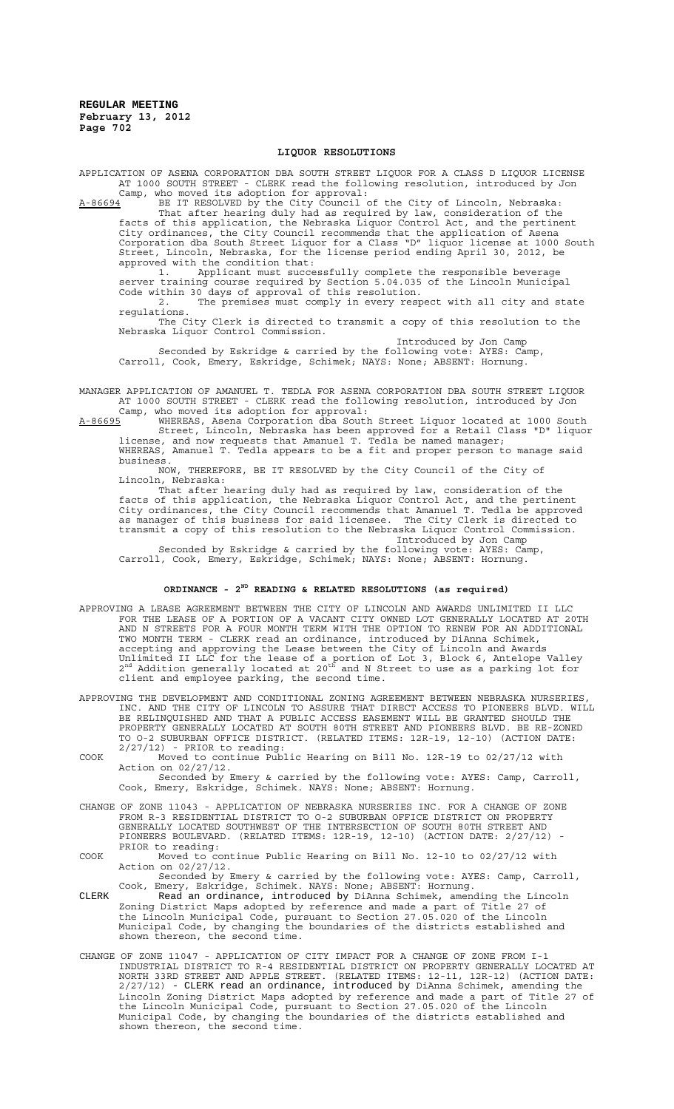#### **LIQUOR RESOLUTIONS**

APPLICATION OF ASENA CORPORATION DBA SOUTH STREET LIQUOR FOR A CLASS D LIQUOR LICENSE AT 1000 SOUTH STREET - CLERK read the following resolution, introduced by Jon Camp, who moved its adoption for approval:

A-86694 BE IT RESOLVED by the City Council of the City of Lincoln, Nebraska: That after hearing duly had as required by law, consideration of the facts of this application, the Nebraska Liquor Control Act, and the pertinent City ordinances, the City Council recommends that the application of Asena Corporation dba South Street Liquor for a Class "D" liquor license at 1000 South Street, Lincoln, Nebraska, for the license period ending April 30, 2012, be approved with the condition that:

1. Applicant must successfully complete the responsible beverage server training course required by Section 5.04.035 of the Lincoln Municipal Code within 30 days of approval of this resolution.

2. The premises must comply in every respect with all city and state regulations. The City Clerk is directed to transmit a copy of this resolution to the

Nebraska Liquor Control Commission. Introduced by Jon Camp

Seconded by Eskridge & carried by the following vote: AYES: Camp, Carroll, Cook, Emery, Eskridge, Schimek; NAYS: None; ABSENT: Hornung.

MANAGER APPLICATION OF AMANUEL T. TEDLA FOR ASENA CORPORATION DBA SOUTH STREET LIQUOR AT 1000 SOUTH STREET - CLERK read the following resolution, introduced by Jon Camp, who moved its adoption for approval:

A-86695 MHEREAS, Asena Corporation dba South Street Liquor located at 1000 South Street, Lincoln, Nebraska has been approved for a Retail Class "D" liquor license, and now requests that Amanuel T. Tedla be named manager; WHEREAS, Amanuel T. Tedla appears to be a fit and proper person to manage said

business.<br>NOW, THEREFORE, BE IT RESOLVED by the City Council of the City of Lincoln, Nebraska:

That after hearing duly had as required by law, consideration of the facts of this application, the Nebraska Liquor Control Act, and the pertinent City ordinances, the City Council recommends that Amanuel T. Tedla be approved as manager of this business for said licensee. The City Clerk is directed to transmit a copy of this resolution to the Nebraska Liquor Control Commission. Introduced by Jon Camp

Seconded by Eskridge & carried by the following vote: AYES: Camp, Carroll, Cook, Emery, Eskridge, Schimek; NAYS: None; ABSENT: Hornung.

# **ORDINANCE - 2ND READING & RELATED RESOLUTIONS (as required)**

- APPROVING A LEASE AGREEMENT BETWEEN THE CITY OF LINCOLN AND AWARDS UNLIMITED II LLC FOR THE LEASE OF A PORTION OF A VACANT CITY OWNED LOT GENERALLY LOCATED AT 20TH AND N STREETS FOR A FOUR MONTH TERM WITH THE OPTION TO RENEW FOR AN ADDITIONAL TWO MONTH TERM - CLERK read an ordinance, introduced by DiAnna Schimek, accepting and approving the Lease between the City of Lincoln and Awards Unlimited II LLC for the lease of a portion of Lot 3, Block 6, Antelope Valley<br>2<sup>nd</sup> Addition generally located at 20<sup>th</sup> and N Street to use as a parking lot for client and employee parking, the second time.
- APPROVING THE DEVELOPMENT AND CONDITIONAL ZONING AGREEMENT BETWEEN NEBRASKA NURSERIES, INC. AND THE CITY OF LINCOLN TO ASSURE THAT DIRECT ACCESS TO PIONEERS BLVD. WILL BE RELINQUISHED AND THAT A PUBLIC ACCESS EASEMENT WILL BE GRANTED SHOULD THE PROPERTY GENERALLY LOCATED AT SOUTH 80TH STREET AND PIONEERS BLVD. BE RE-ZONED TO O-2 SUBURBAN OFFICE DISTRICT. (RELATED ITEMS: 12R-19, 12-10) (ACTION DATE: 2/27/12) - PRIOR to reading:
- COOK Moved to continue Public Hearing on Bill No. 12R-19 to 02/27/12 with Action on 02/27/12. Seconded by Emery & carried by the following vote: AYES: Camp, Carroll,
- Cook, Emery, Eskridge, Schimek. NAYS: None; ABSENT: Hornung. CHANGE OF ZONE 11043 - APPLICATION OF NEBRASKA NURSERIES INC. FOR A CHANGE OF ZONE FROM R-3 RESIDENTIAL DISTRICT TO O-2 SUBURBAN OFFICE DISTRICT ON PROPERTY
	- GENERALLY LOCATED SOUTHWEST OF THE INTERSECTION OF SOUTH 80TH STREET AND PIONEERS BOULEVARD. (RELATED ITEMS: 12R-19, 12-10) (ACTION DATE: 2/27/12) - PRIOR to reading:
- COOK Moved to continue Public Hearing on Bill No. 12-10 to 02/27/12 with Action on 02/27/12.

Seconded by Emery & carried by the following vote: AYES: Camp, Carroll, Cook, Emery, Eskridge, Schimek. NAYS: None; ABSENT: Hornung. CLERK Read an ordinance, introduced by DiAnna Schimek, amending the Lincoln

- Zoning District Maps adopted by reference and made a part of Title 27 of the Lincoln Municipal Code, pursuant to Section 27.05.020 of the Lincoln Municipal Code, by changing the boundaries of the districts established and shown thereon, the second time.
- CHANGE OF ZONE 11047 APPLICATION OF CITY IMPACT FOR A CHANGE OF ZONE FROM I-1 INDUSTRIAL DISTRICT TO R-4 RESIDENTIAL DISTRICT ON PROPERTY GENERALLY LOCATED AT NORTH 33RD STREET AND APPLE STREET. (RELATED ITEMS: 12-11, 12R-12) (ACTION DATE: 2/27/12) - CLERK read an ordinance, introduced by DiAnna Schimek, amending the Lincoln Zoning District Maps adopted by reference and made a part of Title 27 of the Lincoln Municipal Code, pursuant to Section 27.05.020 of the Lincoln Municipal Code, by changing the boundaries of the districts established and shown thereon, the second time.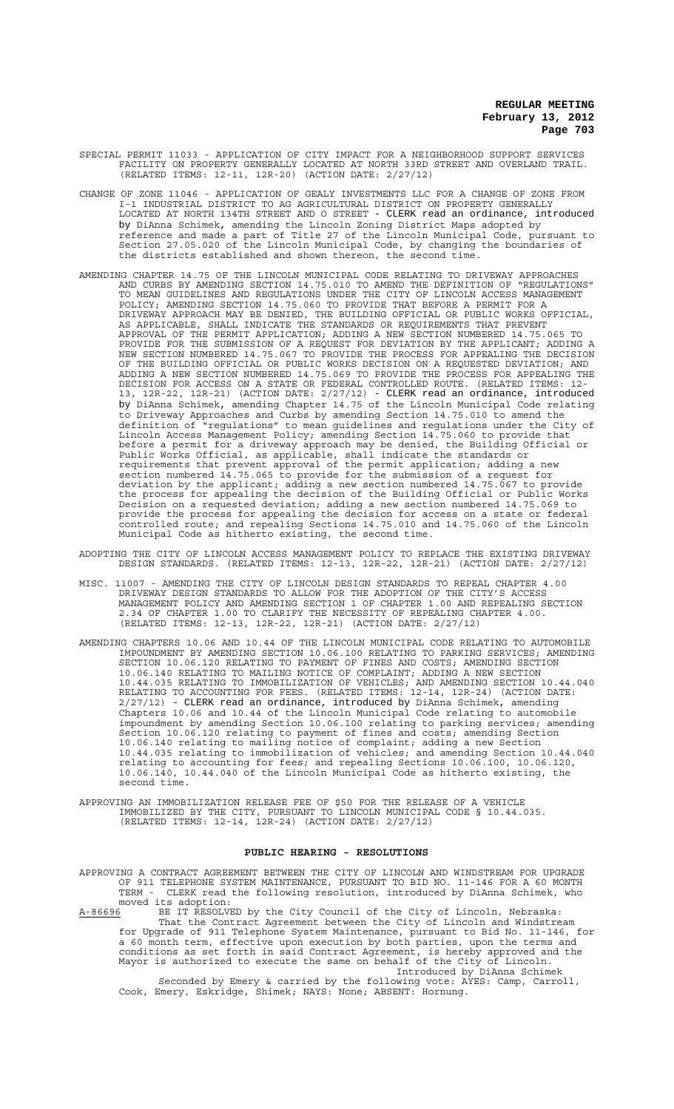- SPECIAL PERMIT 11033 APPLICATION OF CITY IMPACT FOR A NEIGHBORHOOD SUPPORT SERVICES FACILITY ON PROPERTY GENERALLY LOCATED AT NORTH 33RD STREET AND OVERLAND TRAIL. (RELATED ITEMS: 12-11, 12R-20) (ACTION DATE: 2/27/12)
- CHANGE OF ZONE 11046 APPLICATION OF GEALY INVESTMENTS LLC FOR A CHANGE OF ZONE FROM I-1 INDUSTRIAL DISTRICT TO AG AGRICULTURAL DISTRICT ON PROPERTY GENERALLY LOCATED AT NORTH 134TH STREET AND O STREET - CLERK read an ordinance, introduced by DiAnna Schimek, amending the Lincoln Zoning District Maps adopted by reference and made a part of Title 27 of the Lincoln Municipal Code, pursuant to Section 27.05.020 of the Lincoln Municipal Code, by changing the boundaries of the districts established and shown thereon, the second time.
- AMENDING CHAPTER 14.75 OF THE LINCOLN MUNICIPAL CODE RELATING TO DRIVEWAY APPROACHES AND CURBS BY AMENDING SECTION 14.75.010 TO AMEND THE DEFINITION OF "REGULATIONS" TO MEAN GUIDELINES AND REGULATIONS UNDER THE CITY OF LINCOLN ACCESS MANAGEMENT POLICY; AMENDING SECTION 14.75.060 TO PROVIDE THAT BEFORE A PERMIT FOR A DRIVEWAY APPROACH MAY BE DENIED, THE BUILDING OFFICIAL OR PUBLIC WORKS OFFICIAL, AS APPLICABLE, SHALL INDICATE THE STANDARDS OR REQUIREMENTS THAT PREVENT APPROVAL OF THE PERMIT APPLICATION; ADDING A NEW SECTION NUMBERED 14.75.065 TO PROVIDE FOR THE SUBMISSION OF A REQUEST FOR DEVIATION BY THE APPLICANT; ADDING A NEW SECTION NUMBERED 14.75.067 TO PROVIDE THE PROCESS FOR APPEALING THE DECISION OF THE BUILDING OFFICIAL OR PUBLIC WORKS DECISION ON A REQUESTED DEVIATION; AND ADDING A NEW SECTION NUMBERED 14.75.069 TO PROVIDE THE PROCESS FOR APPEALING THE DECISION FOR ACCESS ON A STATE OR FEDERAL CONTROLLED ROUTE. (RELATED ITEMS: 12- 13, 12R-22, 12R-21) (ACTION DATE: 2/27/12) - CLERK read an ordinance, introduced by DiAnna Schimek, amending Chapter 14.75 of the Lincoln Municipal Code relating to Driveway Approaches and Curbs by amending Section 14.75.010 to amend the definition of "regulations" to mean guidelines and regulations under the City of Lincoln Access Management Policy; amending Section 14.75.060 to provide that before a permit for a driveway approach may be denied, the Building Official or Public Works Official, as applicable, shall indicate the standards or requirements that prevent approval of the permit application; adding a new section numbered 14.75.065 to provide for the submission of a request for deviation by the applicant; adding a new section numbered 14.75.067 to provide the process for appealing the decision of the Building Official or Public Works Decision on a requested deviation; adding a new section numbered 14.75.069 to provide the process for appealing the decision for access on a state or federal controlled route; and repealing Sections 14.75.010 and 14.75.060 of the Lincoln Municipal Code as hitherto existing, the second time.
- ADOPTING THE CITY OF LINCOLN ACCESS MANAGEMENT POLICY TO REPLACE THE EXISTING DRIVEWAY DESIGN STANDARDS. (RELATED ITEMS: 12-13, 12R-22, 12R-21) (ACTION DATE: 2/27/12)
- MISC. 11007 AMENDING THE CITY OF LINCOLN DESIGN STANDARDS TO REPEAL CHAPTER 4.00 DRIVEWAY DESIGN STANDARDS TO ALLOW FOR THE ADOPTION OF THE CITY'S ACCESS MANAGEMENT POLICY AND AMENDING SECTION 1 OF CHAPTER 1.00 AND REPEALING SECTION 2.34 OF CHAPTER 1.00 TO CLARIFY THE NECESSITY OF REPEALING CHAPTER 4.00. (RELATED ITEMS: 12-13, 12R-22, 12R-21) (ACTION DATE: 2/27/12)
- AMENDING CHAPTERS 10.06 AND 10.44 OF THE LINCOLN MUNICIPAL CODE RELATING TO AUTOMOBILE IMPOUNDMENT BY AMENDING SECTION 10.06.100 RELATING TO PARKING SERVICES; AMENDING SECTION 10.06.120 RELATING TO PAYMENT OF FINES AND COSTS; AMENDING SECTION 10.06.140 RELATING TO MAILING NOTICE OF COMPLAINT; ADDING A NEW SECTION 10.44.035 RELATING TO IMMOBILIZATION OF VEHICLES; AND AMENDING SECTION 10.44.040 RELATING TO ACCOUNTING FOR FEES. (RELATED ITEMS: 12-14, 12R-24) (ACTION DATE: 2/27/12) - CLERK read an ordinance, introduced by DiAnna Schimek, amending Chapters 10.06 and 10.44 of the Lincoln Municipal Code relating to automobile impoundment by amending Section 10.06.100 relating to parking services; amending Section 10.06.120 relating to payment of fines and costs; amending Section 10.06.140 relating to mailing notice of complaint; adding a new Section 10.44.035 relating to immobilization of vehicles; and amending Section 10.44.040 relating to accounting for fees; and repealing Sections 10.06.100, 10.06.120, 10.06.140, 10.44.040 of the Lincoln Municipal Code as hitherto existing, the second time.
- APPROVING AN IMMOBILIZATION RELEASE FEE OF \$50 FOR THE RELEASE OF A VEHICLE IMMOBILIZED BY THE CITY, PURSUANT TO LINCOLN MUNICIPAL CODE § 10.44.035. (RELATED ITEMS: 12-14, 12R-24) (ACTION DATE: 2/27/12)

## **PUBLIC HEARING - RESOLUTIONS**

APPROVING A CONTRACT AGREEMENT BETWEEN THE CITY OF LINCOLN AND WINDSTREAM FOR UPGRADE OF 911 TELEPHONE SYSTEM MAINTENANCE, PURSUANT TO BID NO. 11-146 FOR A 60 MONTH TERM - CLERK read the following resolution, introduced by DiAnna Schimek, who moved its adoption:<br>A-86696 BE IT RESOLV

A-86696 BE IT RESOLVED by the City Council of the City of Lincoln, Nebraska: That the Contract Agreement between the City of Lincoln and Windstream for Upgrade of 911 Telephone System Maintenance, pursuant to Bid No. 11-146, for a 60 month term, effective upon execution by both parties, upon the terms and conditions as set forth in said Contract Agreement, is hereby approved and the Mayor is authorized to execute the same on behalf of the City of Lincoln. Introduced by DiAnna Schimek

Seconded by Emery & carried by the following vote: AYES: Camp, Carroll, Cook, Emery, Eskridge, Shimek; NAYS: None; ABSENT: Hornung.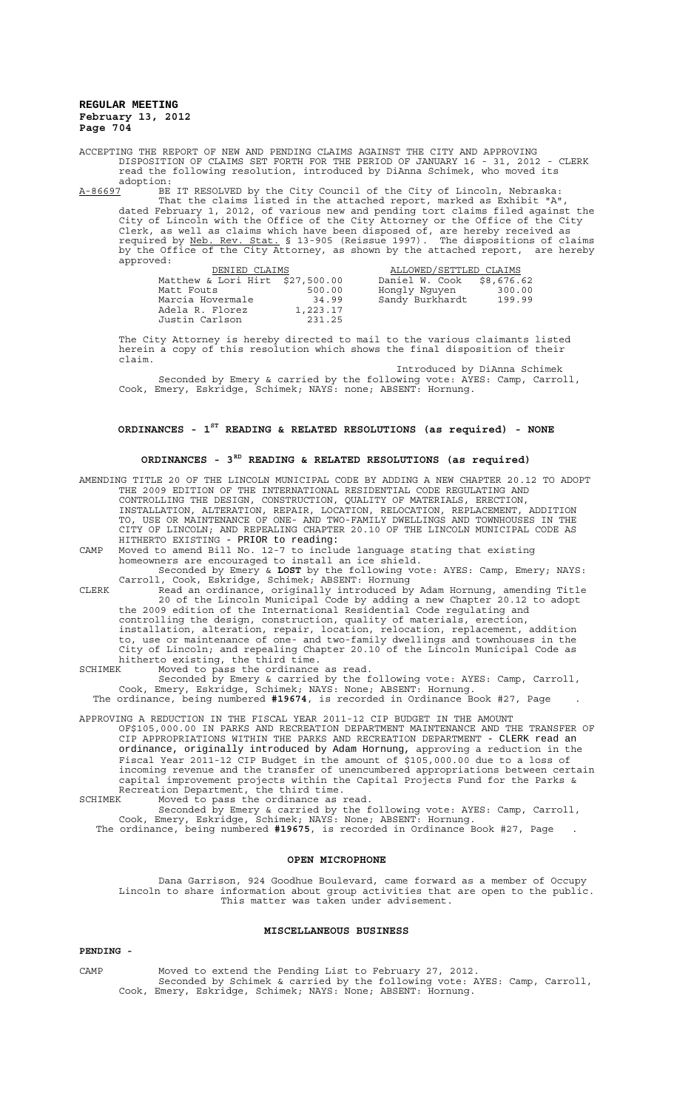ACCEPTING THE REPORT OF NEW AND PENDING CLAIMS AGAINST THE CITY AND APPROVING DISPOSITION OF CLAIMS SET FORTH FOR THE PERIOD OF JANUARY 16 - 31, 2012 - CLERK read the following resolution, introduced by DiAnna Schimek, who moved its adoption:<br><u>A-86697</u> BE

A-86697 BE IT RESOLVED by the City Council of the City of Lincoln, Nebraska: That the claims listed in the attached report, marked as Exhibit "A", dated February 1, 2012, of various new and pending tort claims filed against the City of Lincoln with the Office of the City Attorney or the Office of the City Clerk, as well as claims which have been disposed of, are hereby received as required by Neb. Rev. Stat. § 13-905 (Reissue 1997). The dispositions of claims by the Office of the City Attorney, as shown by the attached report, are hereby approved:

| DENIED CLAIMS                   |          | ALLOWED/SETTLED CLAIMS    |        |
|---------------------------------|----------|---------------------------|--------|
| Matthew & Lori Hirt \$27,500.00 |          | Daniel W. Cook \$8,676.62 |        |
| Matt Fouts                      | 500.00   | Hongly Nguyen             | 300.00 |
| Marcia Hovermale                | 34.99    | Sandy Burkhardt           | 199.99 |
| Adela R. Florez                 | 1,223.17 |                           |        |
| Justin Carlson                  | 231.25   |                           |        |

The City Attorney is hereby directed to mail to the various claimants listed herein a copy of this resolution which shows the final disposition of their claim.

Introduced by DiAnna Schimek Seconded by Emery & carried by the following vote: AYES: Camp, Carroll, Cook, Emery, Eskridge, Schimek; NAYS: none; ABSENT: Hornung.

# **ORDINANCES - 1ST READING & RELATED RESOLUTIONS (as required) - NONE**

# **ORDINANCES - 3RD READING & RELATED RESOLUTIONS (as required)**

AMENDING TITLE 20 OF THE LINCOLN MUNICIPAL CODE BY ADDING A NEW CHAPTER 20.12 TO ADOPT THE 2009 EDITION OF THE INTERNATIONAL RESIDENTIAL CODE REGULATING AND CONTROLLING THE DESIGN, CONSTRUCTION, QUALITY OF MATERIALS, ERECTION, INSTALLATION, ALTERATION, REPAIR, LOCATION, RELOCATION, REPLACEMENT, ADDITION TO, USE OR MAINTENANCE OF ONE- AND TWO-FAMILY DWELLINGS AND TOWNHOUSES IN THE CITY OF LINCOLN; AND REPEALING CHAPTER 20.10 OF THE LINCOLN MUNICIPAL CODE AS HITHERTO EXISTING - PRIOR to reading: CAMP Moved to amend Bill No. 12-7 to include language stating that existing homeowners are encouraged to install an ice shield.

Seconded by Emery & **LOST** by the following vote: AYES: Camp, Emery; NAYS: Carroll, Cook, Eskridge, Schimek; ABSENT: Hornung CLERK Read an ordinance, originally introduced by Adam Hornung, amending Title

20 of the Lincoln Municipal Code by adding a new Chapter 20.12 to adopt the 2009 edition of the International Residential Code regulating and controlling the design, construction, quality of materials, erection, installation, alteration, repair, location, relocation, replacement, addition to, use or maintenance of one- and two-family dwellings and townhouses in the City of Lincoln; and repealing Chapter 20.10 of the Lincoln Municipal Code as

- hitherto existing, the third time.
- SCHIMEK Moved to pass the ordinance as read.

Seconded by Emery & carried by the following vote: AYES: Camp, Carroll, Cook, Emery, Eskridge, Schimek; NAYS: None; ABSENT: Hornung. The ordinance, being numbered **#19674**, is recorded in Ordinance Book #27, Page .

APPROVING A REDUCTION IN THE FISCAL YEAR 2011-12 CIP BUDGET IN THE AMOUNT OF\$105,000.00 IN PARKS AND RECREATION DEPARTMENT MAINTENANCE AND THE TRANSFER OF APPROPRIATIONS WITHIN THE PARKS AND RECREATION DEPARTMENT - CLERK read an ordinance, originally introduced by Adam Hornung, approving a reduction in the Fiscal Year 2011-12 CIP Budget in the amount of \$105,000.00 due to a loss of incoming revenue and the transfer of unencumbered appropriations between certain capital improvement projects within the Capital Projects Fund for the Parks & Recreation Department, the third time. SCHIMEK Moved to pass the ordinance as read.

Seconded by Emery & carried by the following vote: AYES: Camp, Carroll, Cook, Emery, Eskridge, Schimek; NAYS: None; ABSENT: Hornung. The ordinance, being numbered **#19675**, is recorded in Ordinance Book #27, Page .

# **OPEN MICROPHONE**

Dana Garrison, 924 Goodhue Boulevard, came forward as a member of Occupy Lincoln to share information about group activities that are open to the public. This matter was taken under advisement.

#### **MISCELLANEOUS BUSINESS**

# **PENDING -**

CAMP Moved to extend the Pending List to February 27, 2012. Seconded by Schimek & carried by the following vote: AYES: Camp, Carroll, Cook, Emery, Eskridge, Schimek; NAYS: None; ABSENT: Hornung.